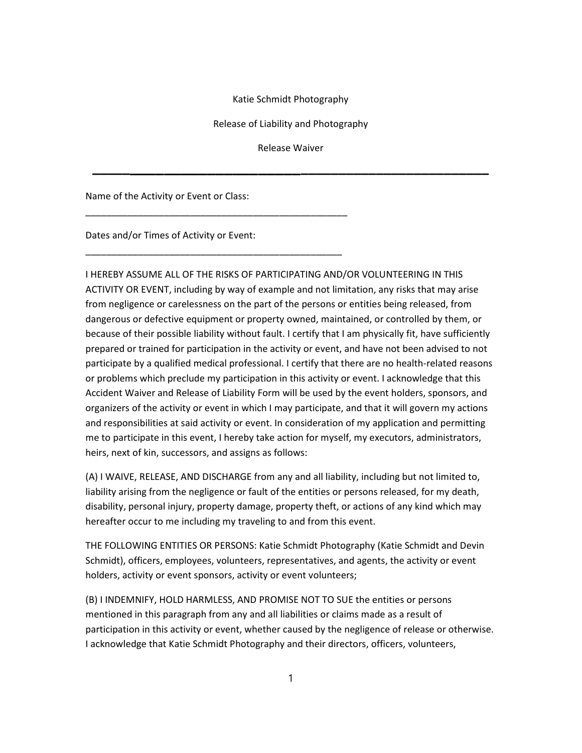## Katie Schmidt Photography

Release of Liability and Photography

Release Waiver

\_\_\_\_\_\_\_\_\_\_\_\_\_\_\_\_\_\_\_\_\_\_\_\_\_\_\_\_\_\_\_\_\_\_\_\_\_\_\_\_\_\_\_\_\_\_\_\_\_\_

Name of the Activity or Event or Class:

Dates and/or Times of Activity or Event:

\_\_\_\_\_\_\_\_\_\_\_\_\_\_\_\_\_\_\_\_\_\_\_\_\_\_\_\_\_\_\_\_\_\_\_\_\_\_\_\_\_\_\_\_\_\_\_\_\_\_

\_\_\_\_\_\_\_\_\_\_\_\_\_\_\_\_\_\_\_\_\_\_\_\_\_\_\_\_\_\_\_\_\_\_\_\_\_\_\_\_\_\_\_\_\_\_\_\_\_

I HEREBY ASSUME ALL OF THE RISKS OF PARTICIPATING AND/OR VOLUNTEERING IN THIS ACTIVITY OR EVENT, including by way of example and not limitation, any risks that may arise from negligence or carelessness on the part of the persons or entities being released, from dangerous or defective equipment or property owned, maintained, or controlled by them, or because of their possible liability without fault. I certify that I am physically fit, have sufficiently prepared or trained for participation in the activity or event, and have not been advised to not participate by a qualified medical professional. I certify that there are no health-related reasons or problems which preclude my participation in this activity or event. I acknowledge that this Accident Waiver and Release of Liability Form will be used by the event holders, sponsors, and organizers of the activity or event in which I may participate, and that it will govern my actions and responsibilities at said activity or event. In consideration of my application and permitting me to participate in this event, I hereby take action for myself, my executors, administrators, heirs, next of kin, successors, and assigns as follows:

(A) I WAIVE, RELEASE, AND DISCHARGE from any and all liability, including but not limited to, liability arising from the negligence or fault of the entities or persons released, for my death, disability, personal injury, property damage, property theft, or actions of any kind which may hereafter occur to me including my traveling to and from this event.

THE FOLLOWING ENTITIES OR PERSONS: Katie Schmidt Photography (Katie Schmidt and Devin Schmidt), officers, employees, volunteers, representatives, and agents, the activity or event holders, activity or event sponsors, activity or event volunteers;

(B) I INDEMNIFY, HOLD HARMLESS, AND PROMISE NOT TO SUE the entities or persons mentioned in this paragraph from any and all liabilities or claims made as a result of participation in this activity or event, whether caused by the negligence of release or otherwise. I acknowledge that Katie Schmidt Photography and their directors, officers, volunteers,